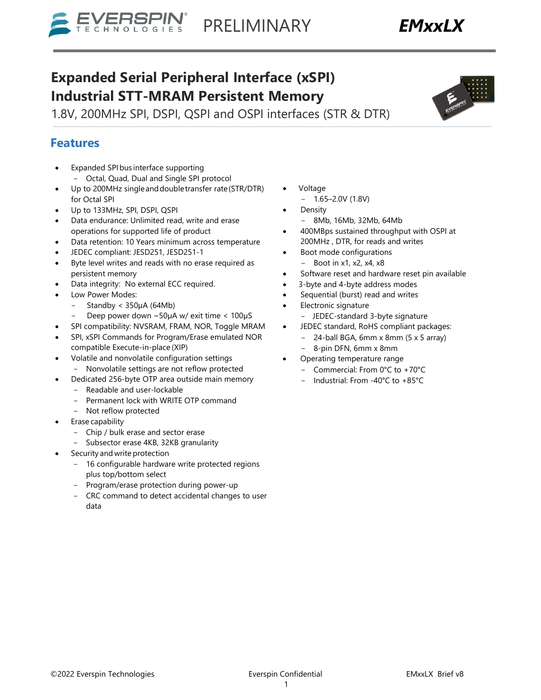# **Expanded Serial Peripheral Interface (xSPI)**

**Industrial STT-MRAM Persistent Memory** 

1.8V, 200MHz SPI, DSPI, QSPI and OSPI interfaces (STR & DTR)

# **Features**

- Expanded SPI bus interface supporting - Octal, Quad, Dual and Single SPI protocol
- Up to 200MHz single and double transfer rate (STR/DTR) for Octal SPI
- Up to 133MHz, SPI, DSPI, QSPI
- Data endurance: Unlimited read, write and erase operations for supported life of product
- Data retention: 10 Years minimum across temperature
- JEDEC compliant: JESD251, JESD251-1
- Byte level writes and reads with no erase required as persistent memory
- Data integrity: No external ECC required.
- Low Power Modes:
	- $-$  Standby < 350 $\mu$ A (64Mb)
	- Deep power down ~50µA w/ exit time < 100µS
- SPI compatibility: NVSRAM, FRAM, NOR, Toggle MRAM
- SPI, xSPI Commands for Program/Erase emulated NOR compatible Execute-in-place (XIP)
- Volatile and nonvolatile configuration settings Nonvolatile settings are not reflow protected
	- Dedicated 256-byte OTP area outside main memory
		- Readable and user-lockable
		- Permanent lock with WRITE OTP command
	- Not reflow protected
- Erase capability
	- Chip / bulk erase and sector erase
	- Subsector erase 4KB, 32KB granularity
- Security and write protection
	- 16 configurable hardware write protected regions plus top/bottom select
	- Program/erase protection during power-up
	- CRC command to detect accidental changes to user data

©2022 Everspin Technologies exercise Everspin Confidential EMxxLX Brief v8

1

- Voltage
	- $1.65 2.0V(1.8V)$
- **Density** 
	- 8Mb, 16Mb, 32Mb, 64Mb
- 400MBps sustained throughput with OSPI at 200MHz , DTR, for reads and writes
- Boot mode configurations  $-$  Boot in x1, x2, x4, x8
- Software reset and hardware reset pin available
- 3-byte and 4-byte address modes
- Sequential (burst) read and writes
- Electronic signature
	- JEDEC-standard 3-byte signature
- JEDEC standard, RoHS compliant packages:
	- $-$  24-ball BGA, 6mm x 8mm (5 x 5 array)
	- 8-pin DFN, 6mm x 8mm
- Operating temperature range
- Commercial: From 0°C to +70°C
- Industrial: From -40°C to +85°C

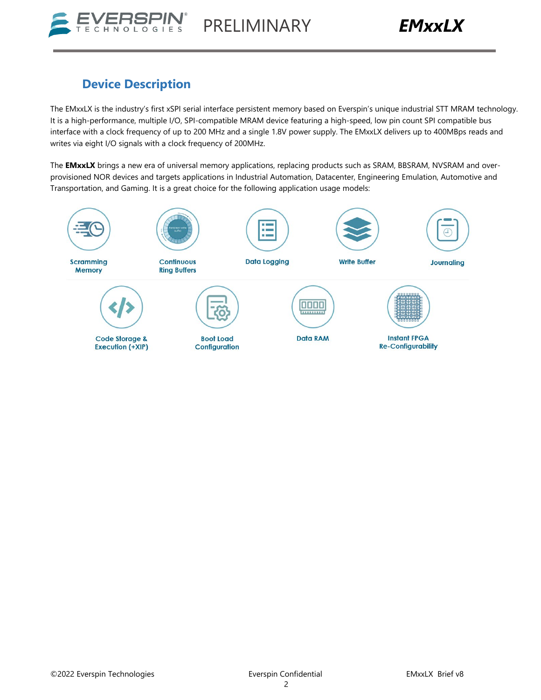

# **Device Description**

The EMxxLX is the industry's first xSPI serial interface persistent memory based on Everspin's unique industrial STT MRAM technology. It is a high-performance, multiple I/O, SPI-compatible MRAM device featuring a high-speed, low pin count SPI compatible bus interface with a clock frequency of up to 200 MHz and a single 1.8V power supply. The EMxxLX delivers up to 400MBps reads and writes via eight I/O signals with a clock frequency of 200MHz.

The **EMxxLX** brings a new era of universal memory applications, replacing products such as SRAM, BBSRAM, NVSRAM and overprovisioned NOR devices and targets applications in Industrial Automation, Datacenter, Engineering Emulation, Automotive and Transportation, and Gaming. It is a great choice for the following application usage models:

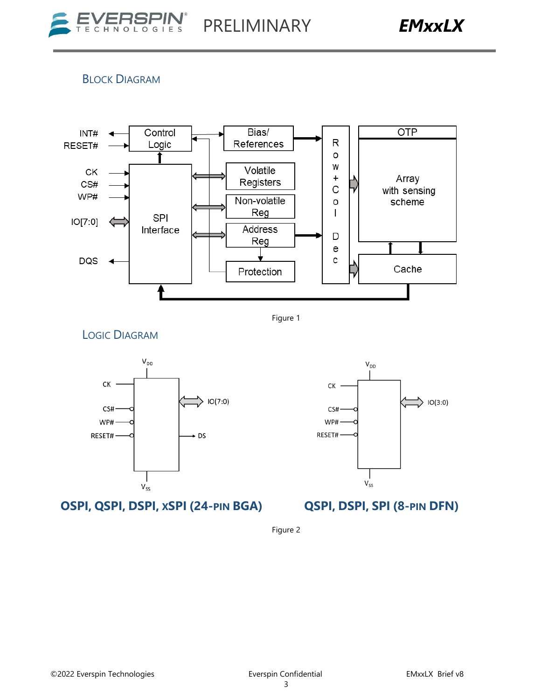### BLOCK DIAGRAM



Figure 1

LOGIC DIAGRAM



**OSPI, QSPI, DSPI, XSPI (24-PIN BGA) QSPI, DSPI, SPI (8-PIN DFN)**



Figure 2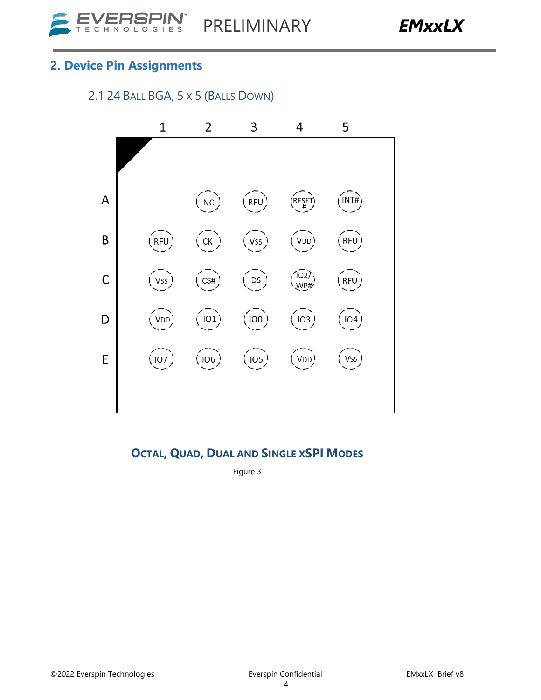# **2. Device Pin Assignments**

# 2.1 24 BALL BGA, 5 X 5 (BALLS DOWN)



### **OCTAL, QUAD, DUAL AND SINGLE XSPI MODES**

Figure 3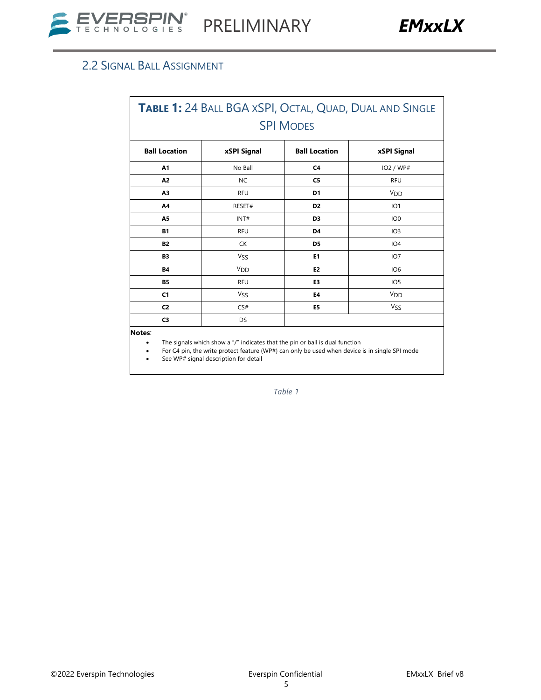# 2.2 SIGNAL BALL ASSIGNMENT

| TABLE 1: 24 BALL BGA XSPI, OCTAL, QUAD, DUAL AND SINGLE |                       |                      |                       |  |  |  |
|---------------------------------------------------------|-----------------------|----------------------|-----------------------|--|--|--|
|                                                         |                       | <b>SPI MODES</b>     |                       |  |  |  |
| <b>Ball Location</b>                                    | xSPI Signal           | <b>Ball Location</b> | xSPI Signal           |  |  |  |
| A1                                                      | No Ball               | C <sub>4</sub>       | IO2 / WP#             |  |  |  |
| A <sub>2</sub>                                          | <b>NC</b>             | C <sub>5</sub>       | <b>RFU</b>            |  |  |  |
| A <sub>3</sub>                                          | <b>RFU</b>            | D <sub>1</sub>       | <b>V<sub>DD</sub></b> |  |  |  |
| A4                                                      | RESET#                | D <sub>2</sub>       | IO1                   |  |  |  |
| A5                                                      | INT#                  | D <sub>3</sub>       | IO <sub>0</sub>       |  |  |  |
| <b>B1</b>                                               | <b>RFU</b>            | D4                   | IO <sub>3</sub>       |  |  |  |
| <b>B2</b>                                               | СK                    | D <sub>5</sub>       | IO <sub>4</sub>       |  |  |  |
| <b>B3</b>                                               | <b>VSS</b>            | E <sub>1</sub>       | IO <sub>7</sub>       |  |  |  |
| <b>B4</b>                                               | <b>V<sub>DD</sub></b> | E <sub>2</sub>       | IO <sub>6</sub>       |  |  |  |
| <b>B5</b>                                               | <b>RFU</b>            | E3                   | IO <sub>5</sub>       |  |  |  |
| C <sub>1</sub>                                          | <b>VSS</b>            | E4                   | <b>V<sub>DD</sub></b> |  |  |  |
| C <sub>2</sub>                                          | CS#                   | E5                   | <b>VSS</b>            |  |  |  |
| C3                                                      | DS                    |                      |                       |  |  |  |

**Notes**:

The signals which show a "/" indicates that the pin or ball is dual function

• For C4 pin, the write protect feature (WP#) can only be used when device is in single SPI mode

• See WP# signal description for detail

*Table 1*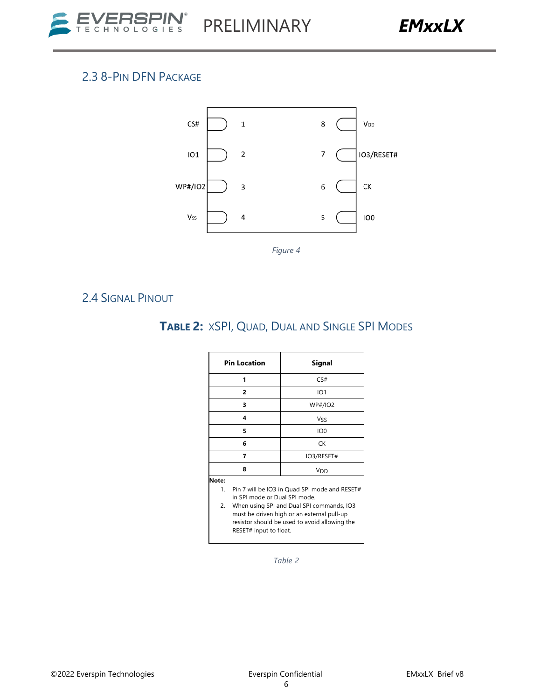

# 2.3 8-PIN DFN PACKAGE



*Figure 4*

### 2.4 SIGNAL PINOUT

# **TABLE 2:** XSPI, QUAD, DUAL AND SINGLE SPI MODES

|                   | <b>Pin Location</b>                                                                                                                                                                                                                                  | Signal                |  |  |
|-------------------|------------------------------------------------------------------------------------------------------------------------------------------------------------------------------------------------------------------------------------------------------|-----------------------|--|--|
|                   | 1                                                                                                                                                                                                                                                    | CS#                   |  |  |
|                   | $\overline{2}$                                                                                                                                                                                                                                       | IO <sub>1</sub>       |  |  |
|                   | 3                                                                                                                                                                                                                                                    | <b>WP#/IO2</b>        |  |  |
|                   | 4                                                                                                                                                                                                                                                    | Vss                   |  |  |
|                   | 5                                                                                                                                                                                                                                                    | IO <sub>0</sub>       |  |  |
|                   | 6                                                                                                                                                                                                                                                    | <b>CK</b>             |  |  |
|                   | 7                                                                                                                                                                                                                                                    | IO3/RESET#            |  |  |
|                   | 8                                                                                                                                                                                                                                                    | <b>V<sub>DD</sub></b> |  |  |
| Note:<br>1.<br>2. | Pin 7 will be IO3 in Quad SPI mode and RESET#<br>in SPI mode or Dual SPI mode.<br>When using SPI and Dual SPI commands, IO3<br>must be driven high or an external pull-up<br>resistor should be used to avoid allowing the<br>RESET# input to float. |                       |  |  |

*Table 2*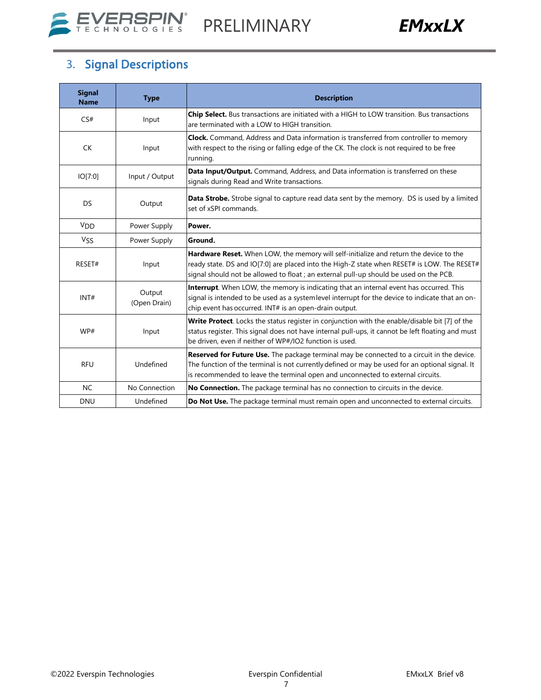



# 3. Signal Descriptions

| <b>Signal</b><br><b>Name</b> | <b>Type</b>            | <b>Description</b>                                                                                                                                                                                                                                                               |
|------------------------------|------------------------|----------------------------------------------------------------------------------------------------------------------------------------------------------------------------------------------------------------------------------------------------------------------------------|
| CS#                          | Input                  | Chip Select. Bus transactions are initiated with a HIGH to LOW transition. Bus transactions<br>are terminated with a LOW to HIGH transition.                                                                                                                                     |
| <b>CK</b>                    | Input                  | Clock. Command, Address and Data information is transferred from controller to memory<br>with respect to the rising or falling edge of the CK. The clock is not required to be free<br>running.                                                                                  |
| IO[7:0]                      | Input / Output         | Data Input/Output. Command, Address, and Data information is transferred on these<br>signals during Read and Write transactions.                                                                                                                                                 |
| <b>DS</b>                    | Output                 | Data Strobe. Strobe signal to capture read data sent by the memory. DS is used by a limited<br>set of xSPI commands.                                                                                                                                                             |
| <b>V<sub>DD</sub></b>        | Power Supply           | Power.                                                                                                                                                                                                                                                                           |
| Vss                          | Power Supply           | Ground.                                                                                                                                                                                                                                                                          |
| RESET#                       | Input                  | Hardware Reset. When LOW, the memory will self-initialize and return the device to the<br>ready state. DS and IO[7:0] are placed into the High-Z state when RESET# is LOW. The RESET#<br>signal should not be allowed to float ; an external pull-up should be used on the PCB.  |
| INT#                         | Output<br>(Open Drain) | Interrupt. When LOW, the memory is indicating that an internal event has occurred. This<br>signal is intended to be used as a system level interrupt for the device to indicate that an on-<br>chip event has occurred. INT# is an open-drain output.                            |
| WP#                          | Input                  | Write Protect. Locks the status register in conjunction with the enable/disable bit [7] of the<br>status register. This signal does not have internal pull-ups, it cannot be left floating and must<br>be driven, even if neither of WP#/IO2 function is used.                   |
| <b>RFU</b>                   | Undefined              | Reserved for Future Use. The package terminal may be connected to a circuit in the device.<br>The function of the terminal is not currently defined or may be used for an optional signal. It<br>is recommended to leave the terminal open and unconnected to external circuits. |
| <b>NC</b>                    | No Connection          | No Connection. The package terminal has no connection to circuits in the device.                                                                                                                                                                                                 |
| <b>DNU</b>                   | Undefined              | Do Not Use. The package terminal must remain open and unconnected to external circuits.                                                                                                                                                                                          |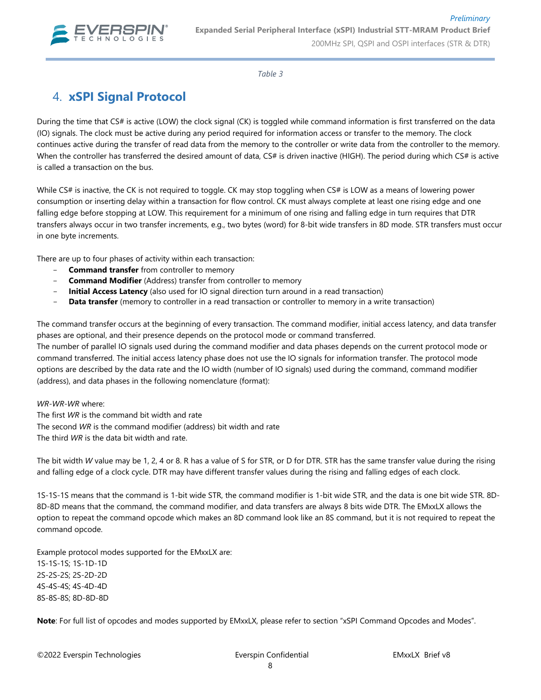

*Table 3*

# 4. **xSPI Signal Protocol**

During the time that CS# is active (LOW) the clock signal (CK) is toggled while command information is first transferred on the data (IO) signals. The clock must be active during any period required for information access or transfer to the memory. The clock continues active during the transfer of read data from the memory to the controller or write data from the controller to the memory. When the controller has transferred the desired amount of data, CS# is driven inactive (HIGH). The period during which CS# is active is called a transaction on the bus.

While CS# is inactive, the CK is not required to toggle. CK may stop toggling when CS# is LOW as a means of lowering power consumption or inserting delay within a transaction for flow control. CK must always complete at least one rising edge and one falling edge before stopping at LOW. This requirement for a minimum of one rising and falling edge in turn requires that DTR transfers always occur in two transfer increments, e.g., two bytes (word) for 8-bit wide transfers in 8D mode. STR transfers must occur in one byte increments.

There are up to four phases of activity within each transaction:

- **Command transfer** from controller to memory
- **Command Modifier** (Address) transfer from controller to memory
- **Initial Access Latency** (also used for IO signal direction turn around in a read transaction)
- Data transfer (memory to controller in a read transaction or controller to memory in a write transaction)

The command transfer occurs at the beginning of every transaction. The command modifier, initial access latency, and data transfer phases are optional, and their presence depends on the protocol mode or command transferred.

The number of parallel IO signals used during the command modifier and data phases depends on the current protocol mode or command transferred. The initial access latency phase does not use the IO signals for information transfer. The protocol mode options are described by the data rate and the IO width (number of IO signals) used during the command, command modifier (address), and data phases in the following nomenclature (format):

#### *WR-WR-WR* where:

The first *WR* is the command bit width and rate The second *WR* is the command modifier (address) bit width and rate The third *WR* is the data bit width and rate.

The bit width *W* value may be 1, 2, 4 or 8. R has a value of S for STR, or D for DTR. STR has the same transfer value during the rising and falling edge of a clock cycle. DTR may have different transfer values during the rising and falling edges of each clock.

1S-1S-1S means that the command is 1-bit wide STR, the command modifier is 1-bit wide STR, and the data is one bit wide STR. 8D-8D-8D means that the command, the command modifier, and data transfers are always 8 bits wide DTR. The EMxxLX allows the option to repeat the command opcode which makes an 8D command look like an 8S command, but it is not required to repeat the command opcode.

Example protocol modes supported for the EMxxLX are: 1S-1S-1S; 1S-1D-1D 2S-2S-2S; 2S-2D-2D 4S-4S-4S; 4S-4D-4D 8S-8S-8S; 8D-8D-8D

**Note**: For full list of opcodes and modes supported by EMxxLX, please refer to section "xSPI Command Opcodes and Modes".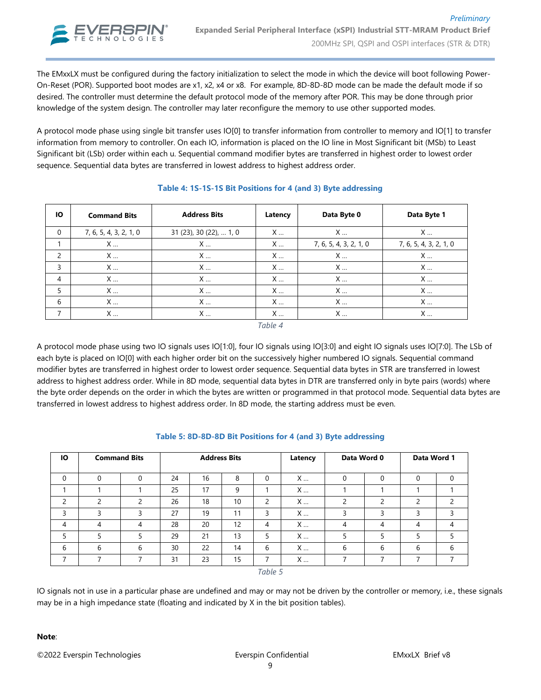

The EMxxLX must be configured during the factory initialization to select the mode in which the device will boot following Power-On-Reset (POR). Supported boot modes are x1, x2, x4 or x8. For example, 8D-8D-8D mode can be made the default mode if so desired. The controller must determine the default protocol mode of the memory after POR. This may be done through prior knowledge of the system design. The controller may later reconfigure the memory to use other supported modes.

A protocol mode phase using single bit transfer uses IO[0] to transfer information from controller to memory and IO[1] to transfer information from memory to controller. On each IO, information is placed on the IO line in Most Significant bit (MSb) to Least Significant bit (LSb) order within each u. Sequential command modifier bytes are transferred in highest order to lowest order sequence. Sequential data bytes are transferred in lowest address to highest address order.

| ю | <b>Command Bits</b>    | <b>Address Bits</b>     | Latency | Data Byte 0            | Data Byte 1            |
|---|------------------------|-------------------------|---------|------------------------|------------------------|
| 0 | 7, 6, 5, 4, 3, 2, 1, 0 | 31 (23), 30 (22),  1, 0 | X       | X                      | X                      |
|   | X                      | X                       | X       | 7, 6, 5, 4, 3, 2, 1, 0 | 7, 6, 5, 4, 3, 2, 1, 0 |
| 2 | X                      | X                       | X       | X                      | X                      |
| 3 | X                      | X                       | X       | X                      | X                      |
| 4 | X                      | X                       | X       | X                      | X                      |
| 5 | X                      | X                       | X       | X                      | X                      |
| 6 | X                      | X                       | X       | X                      | X                      |
| 7 | X                      | X                       | X       | X                      | X                      |
|   |                        |                         | Table 4 |                        |                        |

#### **Table 4: 1S-1S-1S Bit Positions for 4 (and 3) Byte addressing**

A protocol mode phase using two IO signals uses IO[1:0], four IO signals using IO[3:0] and eight IO signals uses IO[7:0]. The LSb of each byte is placed on IO[0] with each higher order bit on the successively higher numbered IO signals. Sequential command modifier bytes are transferred in highest order to lowest order sequence. Sequential data bytes in STR are transferred in lowest address to highest address order. While in 8D mode, sequential data bytes in DTR are transferred only in byte pairs (words) where the byte order depends on the order in which the bytes are written or programmed in that protocol mode. Sequential data bytes are transferred in lowest address to highest address order. In 8D mode, the starting address must be even.

| Ю             | <b>Command Bits</b> |   |    | <b>Address Bits</b> |    |          | Latency | Data Word 0              |   | Data Word 1 |               |
|---------------|---------------------|---|----|---------------------|----|----------|---------|--------------------------|---|-------------|---------------|
| 0             |                     | 0 | 24 | 16                  | 8  | $\Omega$ | X       | 0                        | 0 | $\Omega$    | $\mathbf 0$   |
|               |                     |   | 25 | 17                  | 9  |          | X       |                          |   |             |               |
| $\mathcal{P}$ | $\mathcal{P}$       | ∍ | 26 | 18                  | 10 | 2        | X       | $\mathcal{P}$            | 2 | C           | $\mathcal{P}$ |
| 3             | 3                   | 3 | 27 | 19                  | 11 | 3        | X       | 3                        | 3 | 3           | 3             |
| 4             | 4                   | 4 | 28 | 20                  | 12 | 4        | X       | 4                        | 4 | 4           | 4             |
| 5             | 5                   | 5 | 29 | 21                  | 13 | 5        | X       | 5                        | 5 | 5           | 5             |
| 6             | 6                   | 6 | 30 | 22                  | 14 | 6        | X       | 6                        | 6 | 6           | 6             |
| ⇁             | $\overline{ }$      |   | 31 | 23                  | 15 | ⇁        | X       | $\overline{\phantom{a}}$ | 7 | 7           | ⇁             |
|               |                     |   |    |                     |    | Table 5  |         |                          |   |             |               |

#### **Table 5: 8D-8D-8D Bit Positions for 4 (and 3) Byte addressing**

IO signals not in use in a particular phase are undefined and may or may not be driven by the controller or memory, i.e., these signals may be in a high impedance state (floating and indicated by X in the bit position tables).

#### **Note**: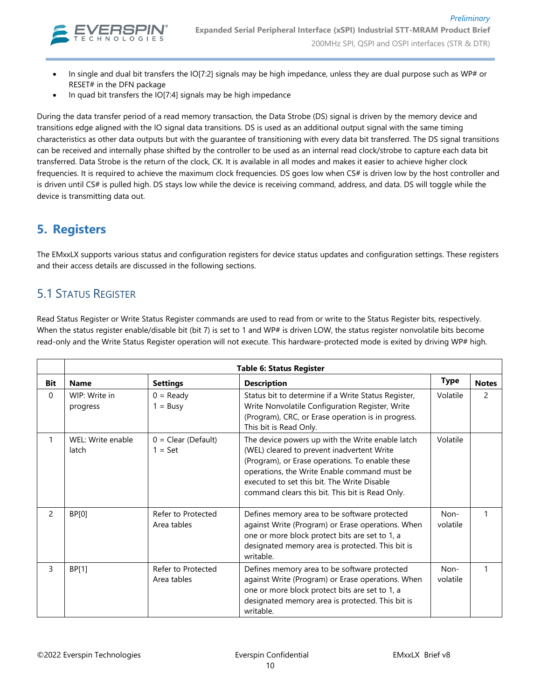

- In single and dual bit transfers the IO[7:2] signals may be high impedance, unless they are dual purpose such as WP# or RESET# in the DFN package
- In quad bit transfers the IO[7:4] signals may be high impedance

During the data transfer period of a read memory transaction, the Data Strobe (DS) signal is driven by the memory device and transitions edge aligned with the IO signal data transitions. DS is used as an additional output signal with the same timing characteristics as other data outputs but with the guarantee of transitioning with every data bit transferred. The DS signal transitions can be received and internally phase shifted by the controller to be used as an internal read clock/strobe to capture each data bit transferred. Data Strobe is the return of the clock, CK. It is available in all modes and makes it easier to achieve higher clock frequencies. It is required to achieve the maximum clock frequencies. DS goes low when CS# is driven low by the host controller and is driven until CS# is pulled high. DS stays low while the device is receiving command, address, and data. DS will toggle while the device is transmitting data out.

# **5. Registers**

The EMxxLX supports various status and configuration registers for device status updates and configuration settings. These registers and their access details are discussed in the following sections.

### 5.1 STATUS REGISTER

Read Status Register or Write Status Register commands are used to read from or write to the Status Register bits, respectively. When the status register enable/disable bit (bit 7) is set to 1 and WP# is driven LOW, the status register nonvolatile bits become read-only and the Write Status Register operation will not execute. This hardware-protected mode is exited by driving WP# high.

|          |                            |                                    | <b>Table 6: Status Register</b>                                                                                                                                                                                                                                                                     |                  |               |
|----------|----------------------------|------------------------------------|-----------------------------------------------------------------------------------------------------------------------------------------------------------------------------------------------------------------------------------------------------------------------------------------------------|------------------|---------------|
| Bit      | <b>Name</b>                | <b>Settings</b>                    | <b>Description</b>                                                                                                                                                                                                                                                                                  | <b>Type</b>      | <b>Notes</b>  |
| $\Omega$ | WIP: Write in<br>progress  | $0 =$ Ready<br>$1 = Busy$          | Status bit to determine if a Write Status Register,<br>Write Nonvolatile Configuration Register, Write<br>(Program), CRC, or Erase operation is in progress.<br>This bit is Read Only.                                                                                                              | Volatile         | $\mathcal{P}$ |
|          | WEL: Write enable<br>latch | $0 = Clear (Default)$<br>$1 = Set$ | The device powers up with the Write enable latch<br>(WEL) cleared to prevent inadvertent Write<br>(Program), or Erase operations. To enable these<br>operations, the Write Enable command must be<br>executed to set this bit. The Write Disable<br>command clears this bit. This bit is Read Only. | Volatile         |               |
| 2        | BP[0]                      | Refer to Protected<br>Area tables  | Defines memory area to be software protected<br>against Write (Program) or Erase operations. When<br>one or more block protect bits are set to 1, a<br>designated memory area is protected. This bit is<br>writable.                                                                                | Non-<br>volatile |               |
| 3        | BP[1]                      | Refer to Protected<br>Area tables  | Defines memory area to be software protected<br>against Write (Program) or Erase operations. When<br>one or more block protect bits are set to 1, a<br>designated memory area is protected. This bit is<br>writable.                                                                                | Non-<br>volatile |               |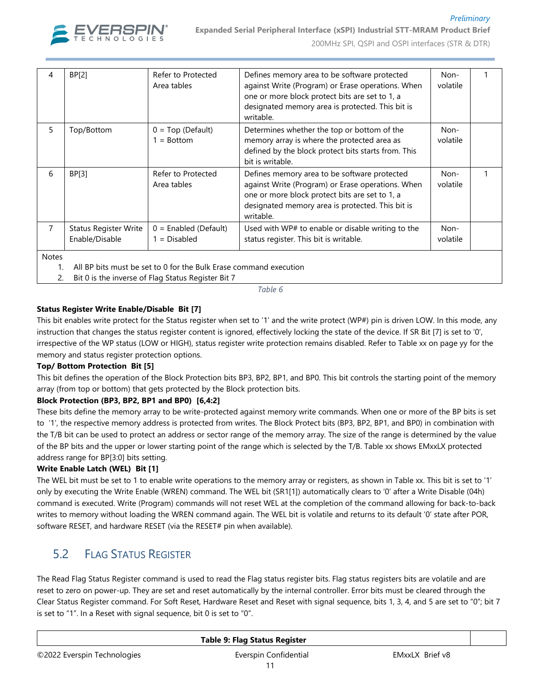

### *Preliminary* **Expanded Serial Peripheral Interface (xSPI) Industrial STT-MRAM Product Brief**

200MHz SPI, QSPI and OSPI interfaces (STR & DTR)

| 4            | <b>BP[2]</b>                                   | Refer to Protected<br>Area tables                                 | Defines memory area to be software protected<br>against Write (Program) or Erase operations. When<br>one or more block protect bits are set to 1, a<br>designated memory area is protected. This bit is<br>writable. | Non-<br>volatile |  |
|--------------|------------------------------------------------|-------------------------------------------------------------------|----------------------------------------------------------------------------------------------------------------------------------------------------------------------------------------------------------------------|------------------|--|
| 5            | Top/Bottom                                     | $0 = Top (Default)$<br>$1 = Bottom$                               | Determines whether the top or bottom of the<br>memory array is where the protected area as<br>defined by the block protect bits starts from. This<br>bit is writable.                                                | Non-<br>volatile |  |
| 6            | BP[3]                                          | Refer to Protected<br>Area tables                                 | Defines memory area to be software protected<br>against Write (Program) or Erase operations. When<br>one or more block protect bits are set to 1, a<br>designated memory area is protected. This bit is<br>writable. | Non-<br>volatile |  |
| 7            | <b>Status Register Write</b><br>Enable/Disable | $0 =$ Enabled (Default)<br>$1 = Disabled$                         | Used with WP# to enable or disable writing to the<br>status register. This bit is writable.                                                                                                                          | Non-<br>volatile |  |
| <b>Notes</b> |                                                | All BP bits must be set to 0 for the Bulk Erase command execution |                                                                                                                                                                                                                      |                  |  |

2. Bit 0 is the inverse of Flag Status Register Bit 7

*Table 6*

#### **Status Register Write Enable/Disable Bit [7]**

This bit enables write protect for the Status register when set to '1' and the write protect (WP#) pin is driven LOW. In this mode, any instruction that changes the status register content is ignored, effectively locking the state of the device. If SR Bit [7] is set to '0', irrespective of the WP status (LOW or HIGH), status register write protection remains disabled. Refer to Table xx on page yy for the memory and status register protection options.

#### **Top/ Bottom Protection Bit [5]**

This bit defines the operation of the Block Protection bits BP3, BP2, BP1, and BP0. This bit controls the starting point of the memory array (from top or bottom) that gets protected by the Block protection bits.

#### **Block Protection (BP3, BP2, BP1 and BP0) [6,4:2]**

These bits define the memory array to be write-protected against memory write commands. When one or more of the BP bits is set to '1', the respective memory address is protected from writes. The Block Protect bits (BP3, BP2, BP1, and BP0) in combination with the T/B bit can be used to protect an address or sector range of the memory array. The size of the range is determined by the value of the BP bits and the upper or lower starting point of the range which is selected by the T/B. Table xx shows EMxxLX protected address range for BP[3:0] bits setting.

#### **Write Enable Latch (WEL) Bit [1]**

The WEL bit must be set to 1 to enable write operations to the memory array or registers, as shown in Table xx. This bit is set to '1' only by executing the Write Enable (WREN) command. The WEL bit (SR1[1]) automatically clears to '0' after a Write Disable (04h) command is executed. Write (Program) commands will not reset WEL at the completion of the command allowing for back-to-back writes to memory without loading the WREN command again. The WEL bit is volatile and returns to its default '0' state after POR, software RESET, and hardware RESET (via the RESET# pin when available).

### 5.2 FLAG STATUS REGISTER

The Read Flag Status Register command is used to read the Flag status register bits. Flag status registers bits are volatile and are reset to zero on power-up. They are set and reset automatically by the internal controller. Error bits must be cleared through the Clear Status Register command. For Soft Reset, Hardware Reset and Reset with signal sequence, bits 1, 3, 4, and 5 are set to "0"; bit 7 is set to "1". In a Reset with signal sequence, bit 0 is set to "0".

|                             | Table 9: Flag Status Register |                 |  |
|-----------------------------|-------------------------------|-----------------|--|
| ©2022 Everspin Technologies | Everspin Confidential         | EMxxLX Brief v8 |  |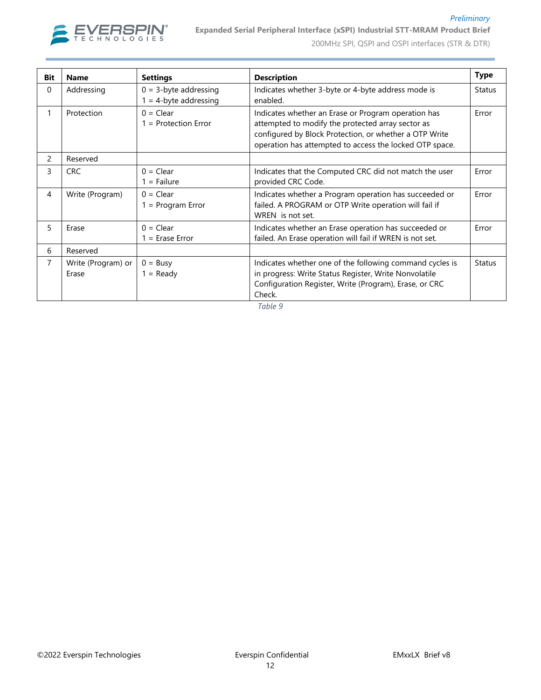

#### *Preliminary* **Expanded Serial Peripheral Interface (xSPI) Industrial STT-MRAM Product Brief**

200MHz SPI, QSPI and OSPI interfaces (STR & DTR)

| <b>Bit</b>    | <b>Name</b>                 | <b>Settings</b>                                      | <b>Description</b>                                                                                                                                                                                                            | <b>Type</b>   |
|---------------|-----------------------------|------------------------------------------------------|-------------------------------------------------------------------------------------------------------------------------------------------------------------------------------------------------------------------------------|---------------|
| 0             | Addressing                  | $0 = 3$ -byte addressing<br>$1 = 4$ -byte addressing | Indicates whether 3-byte or 4-byte address mode is<br>enabled.                                                                                                                                                                | <b>Status</b> |
| 1             | Protection                  | $0 = Clear$<br>$1 =$ Protection Error                | Indicates whether an Erase or Program operation has<br>attempted to modify the protected array sector as<br>configured by Block Protection, or whether a OTP Write<br>operation has attempted to access the locked OTP space. | Error         |
| $\mathcal{P}$ | Reserved                    |                                                      |                                                                                                                                                                                                                               |               |
| 3             | <b>CRC</b>                  | $0 = Clear$<br>$1 =$ Failure                         | Indicates that the Computed CRC did not match the user<br>provided CRC Code.                                                                                                                                                  | Error         |
| 4             | Write (Program)             | $0 = Clear$<br>$1 = Program Error$                   | Indicates whether a Program operation has succeeded or<br>failed. A PROGRAM or OTP Write operation will fail if<br>WREN is not set.                                                                                           | Error         |
| 5             | Erase                       | $0 = Clear$<br>$1 =$ Erase Error                     | Indicates whether an Erase operation has succeeded or<br>failed. An Erase operation will fail if WREN is not set.                                                                                                             | Error         |
| 6             | Reserved                    |                                                      |                                                                                                                                                                                                                               |               |
| 7             | Write (Program) or<br>Erase | $0 = Busv$<br>$1 =$ Ready                            | Indicates whether one of the following command cycles is<br>in progress: Write Status Register, Write Nonvolatile<br>Configuration Register, Write (Program), Erase, or CRC<br>Check.                                         | <b>Status</b> |

*Table 9*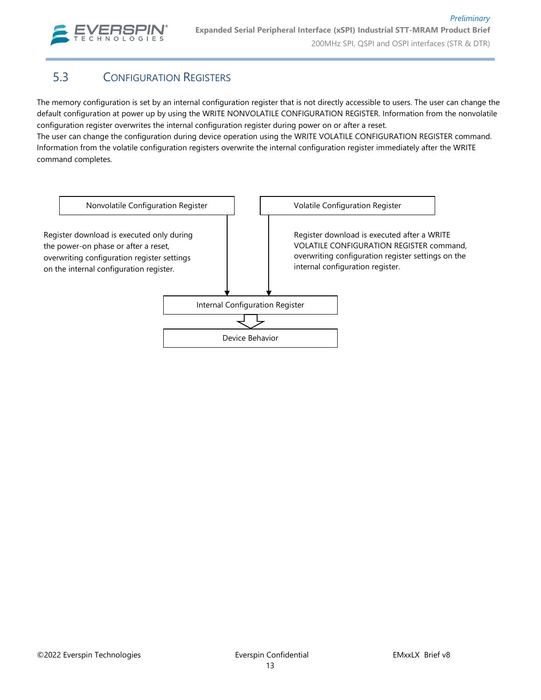

# 5.3 CONFIGURATION REGISTERS

The memory configuration is set by an internal configuration register that is not directly accessible to users. The user can change the default configuration at power up by using the WRITE NONVOLATILE CONFIGURATION REGISTER. Information from the nonvolatile configuration register overwrites the internal configuration register during power on or after a reset.

The user can change the configuration during device operation using the WRITE VOLATILE CONFIGURATION REGISTER command. Information from the volatile configuration registers overwrite the internal configuration register immediately after the WRITE command completes.

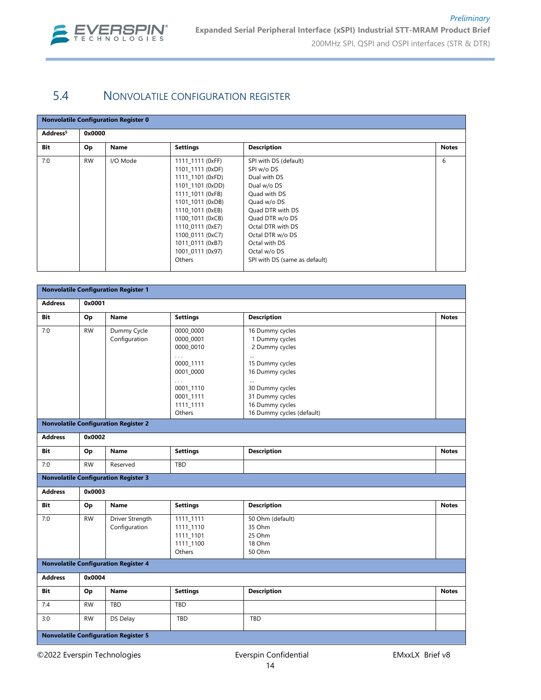

### 5.4 NONVOLATILE CONFIGURATION REGISTER

#### **Nonvolatile Configuration Register 0**

| Address <sup>5</sup> | 0x0000    |          |                  |                               |              |
|----------------------|-----------|----------|------------------|-------------------------------|--------------|
| Bit                  | Op        | Name     | <b>Settings</b>  | <b>Description</b>            | <b>Notes</b> |
| 7:0                  | <b>RW</b> | I/O Mode | 1111 1111 (0xFF) | SPI with DS (default)         | 6            |
|                      |           |          | 1101 1111 (0xDF) | SPI w/o DS                    |              |
|                      |           |          | 1111 1101 (0xFD) | Dual with DS                  |              |
|                      |           |          | 1101 1101 (0xDD) | Dual w/o DS                   |              |
|                      |           |          | 1111 1011 (0xFB) | Quad with DS                  |              |
|                      |           |          | 1101 1011 (0xDB) | Quad w/o DS                   |              |
|                      |           |          | 1110 1011 (0xEB) | Quad DTR with DS              |              |
|                      |           |          | 1100 1011 (0xCB) | Quad DTR w/o DS               |              |
|                      |           |          | 1110 0111 (0xE7) | Octal DTR with DS             |              |
|                      |           |          | 1100 0111 (0xC7) | Octal DTR w/o DS              |              |
|                      |           |          | 1011 0111 (0xB7) | Octal with DS                 |              |
|                      |           |          | 1001 0111 (0x97) | Octal w/o DS                  |              |
|                      |           |          | Others           | SPI with DS (same as default) |              |

| <b>Nonvolatile Configuration Register 1</b> |           |                                             |                                                            |                                                                   |              |  |  |
|---------------------------------------------|-----------|---------------------------------------------|------------------------------------------------------------|-------------------------------------------------------------------|--------------|--|--|
| <b>Address</b>                              | 0x0001    |                                             |                                                            |                                                                   |              |  |  |
| Bit                                         | Op        | <b>Name</b>                                 | <b>Settings</b>                                            | <b>Description</b>                                                | <b>Notes</b> |  |  |
| 7:0                                         | <b>RW</b> | Dummy Cycle<br>Configuration                | 0000 0000<br>0000 0001<br>0000 0010                        | 16 Dummy cycles<br>1 Dummy cycles<br>2 Dummy cycles               |              |  |  |
|                                             |           |                                             | $\cdots$<br>0000 1111<br>0001_0000<br>$\cdots$             | $\cdots$<br>15 Dummy cycles<br>16 Dummy cycles                    |              |  |  |
|                                             |           |                                             | 0001_1110<br>0001 1111<br>1111_1111                        | $\cdots$<br>30 Dummy cycles<br>31 Dummy cycles<br>16 Dummy cycles |              |  |  |
|                                             |           | <b>Nonvolatile Configuration Register 2</b> | Others                                                     | 16 Dummy cycles (default)                                         |              |  |  |
|                                             |           |                                             |                                                            |                                                                   |              |  |  |
| <b>Address</b>                              | 0x0002    |                                             |                                                            |                                                                   |              |  |  |
| Bit                                         | Op        | Name                                        | <b>Settings</b>                                            | <b>Description</b>                                                | <b>Notes</b> |  |  |
| 7:0                                         | <b>RW</b> | Reserved                                    | TBD                                                        |                                                                   |              |  |  |
|                                             |           | <b>Nonvolatile Configuration Register 3</b> |                                                            |                                                                   |              |  |  |
| <b>Address</b>                              | 0x0003    |                                             |                                                            |                                                                   |              |  |  |
| Bit                                         | Op        | Name                                        | <b>Settings</b>                                            | <b>Description</b>                                                | <b>Notes</b> |  |  |
| 7:0                                         | <b>RW</b> | Driver Strength<br>Configuration            | 1111_1111<br>1111_1110<br>1111_1101<br>1111_1100<br>Others | 50 Ohm (default)<br>35 Ohm<br>25 Ohm<br>18 Ohm<br>50 Ohm          |              |  |  |
|                                             |           | <b>Nonvolatile Configuration Register 4</b> |                                                            |                                                                   |              |  |  |
| <b>Address</b>                              | 0x0004    |                                             |                                                            |                                                                   |              |  |  |
| Bit                                         | Op        | <b>Name</b>                                 | <b>Settings</b>                                            | <b>Description</b>                                                | <b>Notes</b> |  |  |
| 7:4                                         | RW        | TBD                                         | TBD                                                        |                                                                   |              |  |  |
| 3:0                                         | <b>RW</b> | DS Delay                                    | TBD                                                        | TBD                                                               |              |  |  |
|                                             |           | <b>Nonvolatile Configuration Register 5</b> |                                                            |                                                                   |              |  |  |

©2022 Everspin Technologies Everspin Confidential EMxxLX Brief v8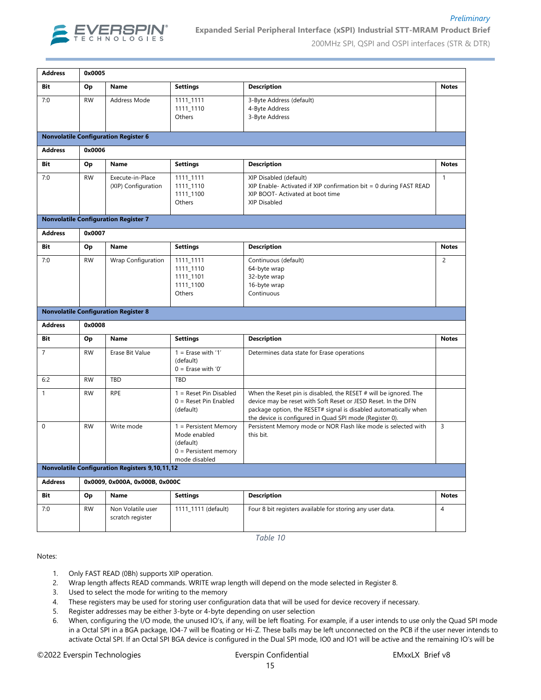

#### **Expanded Serial Peripheral Interface (xSPI) Industrial STT-MRAM Product Brief**

200MHz SPI, QSPI and OSPI interfaces (STR & DTR)

*Preliminary*

| <b>Address</b> | 0x0005    |                                                       |                                                                                                  |                                                                                                                                                                                              |                |
|----------------|-----------|-------------------------------------------------------|--------------------------------------------------------------------------------------------------|----------------------------------------------------------------------------------------------------------------------------------------------------------------------------------------------|----------------|
| Bit            | Op        | Name                                                  | <b>Settings</b>                                                                                  | <b>Description</b>                                                                                                                                                                           | <b>Notes</b>   |
| 7:0            | <b>RW</b> | Address Mode                                          | 1111_1111<br>1111_1110<br>Others                                                                 | 3-Byte Address (default)<br>4-Byte Address<br>3-Byte Address                                                                                                                                 |                |
|                |           | <b>Nonvolatile Configuration Register 6</b>           |                                                                                                  |                                                                                                                                                                                              |                |
| <b>Address</b> | 0x0006    |                                                       |                                                                                                  |                                                                                                                                                                                              |                |
| Bit            | Op        | Name                                                  | <b>Settings</b>                                                                                  | <b>Description</b>                                                                                                                                                                           | <b>Notes</b>   |
| 7:0            | <b>RW</b> | Execute-in-Place<br>(XIP) Configuration               | 1111_1111<br>1111_1110<br>1111_1100<br>Others                                                    | XIP Disabled (default)<br>XIP Enable- Activated if XIP confirmation bit = 0 during FAST READ<br>XIP BOOT- Activated at boot time<br>XIP Disabled                                             | $\mathbf{1}$   |
|                |           | <b>Nonvolatile Configuration Register 7</b>           |                                                                                                  |                                                                                                                                                                                              |                |
| <b>Address</b> | 0x0007    |                                                       |                                                                                                  |                                                                                                                                                                                              |                |
| Bit            | Op        | Name                                                  | <b>Settings</b>                                                                                  | <b>Description</b>                                                                                                                                                                           | <b>Notes</b>   |
| 7:0            | <b>RW</b> | Wrap Configuration                                    | 1111_1111<br>1111_1110<br>1111_1101<br>1111_1100<br>Others                                       | Continuous (default)<br>64-byte wrap<br>32-byte wrap<br>16-byte wrap<br>Continuous                                                                                                           | $\overline{2}$ |
|                |           | <b>Nonvolatile Configuration Register 8</b>           |                                                                                                  |                                                                                                                                                                                              |                |
| <b>Address</b> | 0x0008    |                                                       |                                                                                                  |                                                                                                                                                                                              |                |
| Bit            | Op        | Name                                                  | <b>Settings</b>                                                                                  | <b>Description</b>                                                                                                                                                                           | <b>Notes</b>   |
| 7              | <b>RW</b> | Erase Bit Value                                       | $1 =$ Erase with '1'<br>(default)<br>$0 =$ Erase with '0'                                        | Determines data state for Erase operations                                                                                                                                                   |                |
| 6:2            | <b>RW</b> | TBD                                                   | TBD                                                                                              |                                                                                                                                                                                              |                |
| $\mathbf{1}$   | <b>RW</b> | RPE                                                   | 1 = Reset Pin Disabled                                                                           | When the Reset pin is disabled, the RESET $#$ will be ignored. The                                                                                                                           |                |
|                |           |                                                       | $0 =$ Reset Pin Enabled<br>(default)                                                             | device may be reset with Soft Reset or JESD Reset. In the DFN<br>package option, the RESET# signal is disabled automatically when<br>the device is configured in Quad SPI mode (Register 0). |                |
| 0              | <b>RW</b> | Write mode                                            | $1 =$ Persistent Memory<br>Mode enabled<br>(default)<br>$0 =$ Persistent memory<br>mode disabled | Persistent Memory mode or NOR Flash like mode is selected with<br>this bit.                                                                                                                  | 3              |
|                |           | <b>Nonvolatile Configuration Registers 9,10,11,12</b> |                                                                                                  |                                                                                                                                                                                              |                |
| <b>Address</b> |           | 0x0009, 0x000A, 0x000B, 0x000C                        |                                                                                                  |                                                                                                                                                                                              |                |
| Bit            | Op        | Name                                                  | <b>Settings</b>                                                                                  | <b>Description</b>                                                                                                                                                                           | <b>Notes</b>   |
| 7:0            | <b>RW</b> | Non Volatile user<br>scratch register                 | 1111_1111 (default)                                                                              | Four 8 bit registers available for storing any user data.<br>Table 10                                                                                                                        | 4              |

Notes:

- 1. Only FAST READ (0Bh) supports XIP operation.
- 2. Wrap length affects READ commands. WRITE wrap length will depend on the mode selected in Register 8.
- 3. Used to select the mode for writing to the memory
- 4. These registers may be used for storing user configuration data that will be used for device recovery if necessary.
- 5. Register addresses may be either 3-byte or 4-byte depending on user selection
- 6. When, configuring the I/O mode, the unused IO's, if any, will be left floating. For example, if a user intends to use only the Quad SPI mode in a Octal SPI in a BGA package, IO4-7 will be floating or Hi-Z. These balls may be left unconnected on the PCB if the user never intends to activate Octal SPI. If an Octal SPI BGA device is configured in the Dual SPI mode, IO0 and IO1 will be active and the remaining IO's will be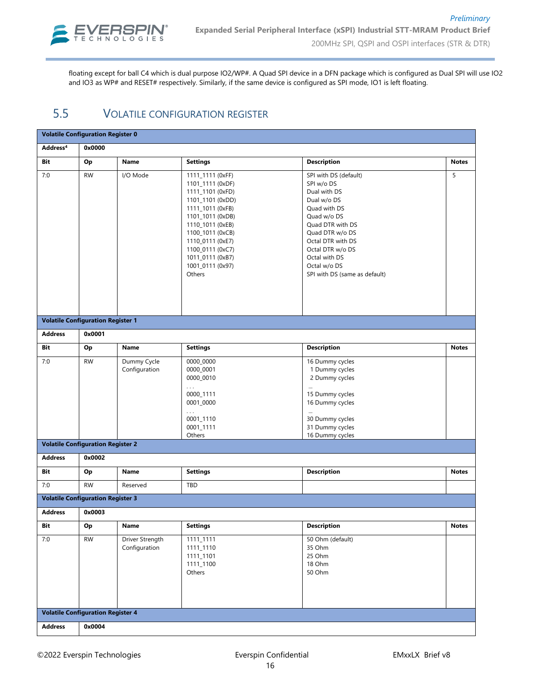

floating except for ball C4 which is dual purpose IO2/WP#. A Quad SPI device in a DFN package which is configured as Dual SPI will use IO2 and IO3 as WP# and RESET# respectively. Similarly, if the same device is configured as SPI mode, IO1 is left floating.

### 5.5 VOLATILE CONFIGURATION REGISTER

| <b>Volatile Configuration Register 0</b> |                                          |                                  |                                                                                                                                                                                                                                                        |                                                                                                                                                                                                                                                     |              |  |  |  |  |  |
|------------------------------------------|------------------------------------------|----------------------------------|--------------------------------------------------------------------------------------------------------------------------------------------------------------------------------------------------------------------------------------------------------|-----------------------------------------------------------------------------------------------------------------------------------------------------------------------------------------------------------------------------------------------------|--------------|--|--|--|--|--|
| Address <sup>4</sup>                     | 0x0000                                   |                                  |                                                                                                                                                                                                                                                        |                                                                                                                                                                                                                                                     |              |  |  |  |  |  |
| Bit                                      | Op                                       | Name                             | <b>Settings</b>                                                                                                                                                                                                                                        | <b>Description</b>                                                                                                                                                                                                                                  | <b>Notes</b> |  |  |  |  |  |
| 7:0                                      | <b>RW</b>                                | I/O Mode                         | 1111_1111 (0xFF)<br>1101_1111 (0xDF)<br>1111_1101 (0xFD)<br>1101_1101 (0xDD)<br>1111_1011 (0xFB)<br>1101_1011 (0xDB)<br>1110_1011 (0xEB)<br>1100_1011 (0xCB)<br>1110_0111 (0xE7)<br>1100_0111 (0xC7)<br>1011_0111 (0xB7)<br>1001_0111 (0x97)<br>Others | SPI with DS (default)<br>SPI w/o DS<br>Dual with DS<br>Dual w/o DS<br>Quad with DS<br>Quad w/o DS<br>Quad DTR with DS<br>Quad DTR w/o DS<br>Octal DTR with DS<br>Octal DTR w/o DS<br>Octal with DS<br>Octal w/o DS<br>SPI with DS (same as default) | 5            |  |  |  |  |  |
|                                          | <b>Volatile Configuration Register 1</b> |                                  |                                                                                                                                                                                                                                                        |                                                                                                                                                                                                                                                     |              |  |  |  |  |  |
| <b>Address</b>                           | 0x0001                                   |                                  |                                                                                                                                                                                                                                                        |                                                                                                                                                                                                                                                     |              |  |  |  |  |  |
| Bit                                      | Op                                       | Name                             | <b>Settings</b>                                                                                                                                                                                                                                        | <b>Description</b>                                                                                                                                                                                                                                  | <b>Notes</b> |  |  |  |  |  |
| 7:0                                      | <b>RW</b>                                | Dummy Cycle<br>Configuration     | 0000_0000<br>0000_0001<br>0000_0010<br>$\ldots$<br>0000_1111<br>0001_0000<br>$\ldots$<br>0001_1110<br>0001_1111<br>Others                                                                                                                              | 16 Dummy cycles<br>1 Dummy cycles<br>2 Dummy cycles<br>15 Dummy cycles<br>16 Dummy cycles<br>$\cdots$<br>30 Dummy cycles<br>31 Dummy cycles<br>16 Dummy cycles                                                                                      |              |  |  |  |  |  |
|                                          | <b>Volatile Configuration Register 2</b> |                                  |                                                                                                                                                                                                                                                        |                                                                                                                                                                                                                                                     |              |  |  |  |  |  |
| <b>Address</b>                           | 0x0002                                   |                                  |                                                                                                                                                                                                                                                        |                                                                                                                                                                                                                                                     |              |  |  |  |  |  |
| Bit                                      | Op                                       | Name                             | <b>Settings</b><br><b>Description</b>                                                                                                                                                                                                                  |                                                                                                                                                                                                                                                     | <b>Notes</b> |  |  |  |  |  |
| 7:0                                      | <b>RW</b>                                | Reserved                         | TBD                                                                                                                                                                                                                                                    |                                                                                                                                                                                                                                                     |              |  |  |  |  |  |
|                                          | <b>Volatile Configuration Register 3</b> |                                  |                                                                                                                                                                                                                                                        |                                                                                                                                                                                                                                                     |              |  |  |  |  |  |
| <b>Address</b>                           | 0x0003                                   |                                  |                                                                                                                                                                                                                                                        |                                                                                                                                                                                                                                                     |              |  |  |  |  |  |
| Bit                                      | Op                                       | Name                             | <b>Settings</b>                                                                                                                                                                                                                                        | <b>Description</b>                                                                                                                                                                                                                                  | <b>Notes</b> |  |  |  |  |  |
| 7:0                                      | <b>RW</b>                                | Driver Strength<br>Configuration | 1111_1111<br>1111_1110<br>1111_1101<br>1111_1100<br>Others                                                                                                                                                                                             | 50 Ohm (default)<br>35 Ohm<br>25 Ohm<br>18 Ohm<br>50 Ohm                                                                                                                                                                                            |              |  |  |  |  |  |
| <b>Volatile Configuration Register 4</b> |                                          |                                  |                                                                                                                                                                                                                                                        |                                                                                                                                                                                                                                                     |              |  |  |  |  |  |
| <b>Address</b>                           | 0x0004                                   |                                  |                                                                                                                                                                                                                                                        |                                                                                                                                                                                                                                                     |              |  |  |  |  |  |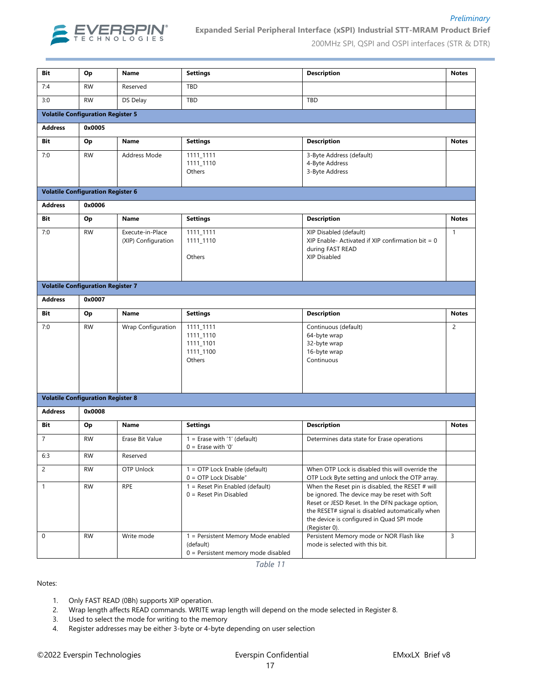

#### **Expanded Serial Peripheral Interface (xSPI) Industrial STT-MRAM Product Brief**

200MHz SPI, QSPI and OSPI interfaces (STR & DTR)

*Preliminary*

| Bit                                      | Op        | Name                                    | <b>Settings</b>                                                                          | <b>Description</b>                                                                                                                                                                                                                                                     | <b>Notes</b>   |  |  |  |  |  |  |  |
|------------------------------------------|-----------|-----------------------------------------|------------------------------------------------------------------------------------------|------------------------------------------------------------------------------------------------------------------------------------------------------------------------------------------------------------------------------------------------------------------------|----------------|--|--|--|--|--|--|--|
| 7:4                                      | <b>RW</b> | Reserved                                | <b>TBD</b>                                                                               |                                                                                                                                                                                                                                                                        |                |  |  |  |  |  |  |  |
| 3:0                                      | <b>RW</b> | DS Delay                                | TBD                                                                                      | TBD                                                                                                                                                                                                                                                                    |                |  |  |  |  |  |  |  |
| <b>Volatile Configuration Register 5</b> |           |                                         |                                                                                          |                                                                                                                                                                                                                                                                        |                |  |  |  |  |  |  |  |
| <b>Address</b>                           | 0x0005    |                                         |                                                                                          |                                                                                                                                                                                                                                                                        |                |  |  |  |  |  |  |  |
| Bit                                      | Op        | Name                                    | <b>Settings</b>                                                                          | <b>Description</b>                                                                                                                                                                                                                                                     | <b>Notes</b>   |  |  |  |  |  |  |  |
| 7:0                                      | <b>RW</b> | Address Mode                            | 1111_1111<br>1111_1110<br>Others                                                         | 3-Byte Address (default)<br>4-Byte Address<br>3-Byte Address                                                                                                                                                                                                           |                |  |  |  |  |  |  |  |
| <b>Volatile Configuration Register 6</b> |           |                                         |                                                                                          |                                                                                                                                                                                                                                                                        |                |  |  |  |  |  |  |  |
| <b>Address</b>                           | 0x0006    |                                         |                                                                                          |                                                                                                                                                                                                                                                                        |                |  |  |  |  |  |  |  |
| Bit                                      | Op        | Name                                    | <b>Settings</b>                                                                          | <b>Description</b>                                                                                                                                                                                                                                                     | <b>Notes</b>   |  |  |  |  |  |  |  |
| 7:0                                      | <b>RW</b> | Execute-in-Place<br>(XIP) Configuration | 1111_1111<br>1111 1110<br>Others                                                         | XIP Disabled (default)<br>XIP Enable- Activated if XIP confirmation bit = $0$<br>during FAST READ<br>XIP Disabled                                                                                                                                                      |                |  |  |  |  |  |  |  |
| <b>Volatile Configuration Register 7</b> |           |                                         |                                                                                          |                                                                                                                                                                                                                                                                        |                |  |  |  |  |  |  |  |
| <b>Address</b>                           | 0x0007    |                                         |                                                                                          |                                                                                                                                                                                                                                                                        |                |  |  |  |  |  |  |  |
| Bit                                      | Op        | <b>Name</b>                             | <b>Settings</b>                                                                          | <b>Description</b>                                                                                                                                                                                                                                                     | <b>Notes</b>   |  |  |  |  |  |  |  |
| 7:0                                      | <b>RW</b> | Wrap Configuration                      | 1111_1111<br>1111_1110<br>1111_1101<br>1111_1100<br>Others                               | Continuous (default)<br>64-byte wrap<br>32-byte wrap<br>16-byte wrap<br>Continuous                                                                                                                                                                                     | 2              |  |  |  |  |  |  |  |
| <b>Volatile Configuration Register 8</b> |           |                                         |                                                                                          |                                                                                                                                                                                                                                                                        |                |  |  |  |  |  |  |  |
| <b>Address</b>                           | 0x0008    |                                         |                                                                                          |                                                                                                                                                                                                                                                                        |                |  |  |  |  |  |  |  |
| Bit                                      | Op        | Name                                    | <b>Settings</b>                                                                          | <b>Description</b>                                                                                                                                                                                                                                                     | <b>Notes</b>   |  |  |  |  |  |  |  |
| $\overline{7}$                           | <b>RW</b> | Erase Bit Value                         | $1 =$ Erase with '1' (default)<br>$0 =$ Erase with '0'                                   | Determines data state for Erase operations                                                                                                                                                                                                                             |                |  |  |  |  |  |  |  |
| 6:3                                      | <b>RW</b> | Reserved                                |                                                                                          |                                                                                                                                                                                                                                                                        |                |  |  |  |  |  |  |  |
| $\overline{2}$                           | <b>RW</b> | OTP Unlock                              | 1 = OTP Lock Enable (default)<br>$0 =$ OTP Lock Disable"                                 | When OTP Lock is disabled this will override the<br>OTP Lock Byte setting and unlock the OTP array.                                                                                                                                                                    |                |  |  |  |  |  |  |  |
| $\mathbf{1}$                             | <b>RW</b> | <b>RPE</b>                              | $1 =$ Reset Pin Enabled (default)<br>$0 =$ Reset Pin Disabled                            | When the Reset pin is disabled, the RESET # will<br>be ignored. The device may be reset with Soft<br>Reset or JESD Reset. In the DFN package option,<br>the RESET# signal is disabled automatically when<br>the device is configured in Quad SPI mode<br>(Register 0). |                |  |  |  |  |  |  |  |
| $\mathbf 0$                              | <b>RW</b> | Write mode                              | 1 = Persistent Memory Mode enabled<br>(default)<br>$0 =$ Persistent memory mode disabled | Persistent Memory mode or NOR Flash like<br>mode is selected with this bit.                                                                                                                                                                                            | $\overline{3}$ |  |  |  |  |  |  |  |

*Table 11*

Notes:

- 1. Only FAST READ (0Bh) supports XIP operation.
- 2. Wrap length affects READ commands. WRITE wrap length will depend on the mode selected in Register 8.
- 3. Used to select the mode for writing to the memory
- 4. Register addresses may be either 3-byte or 4-byte depending on user selection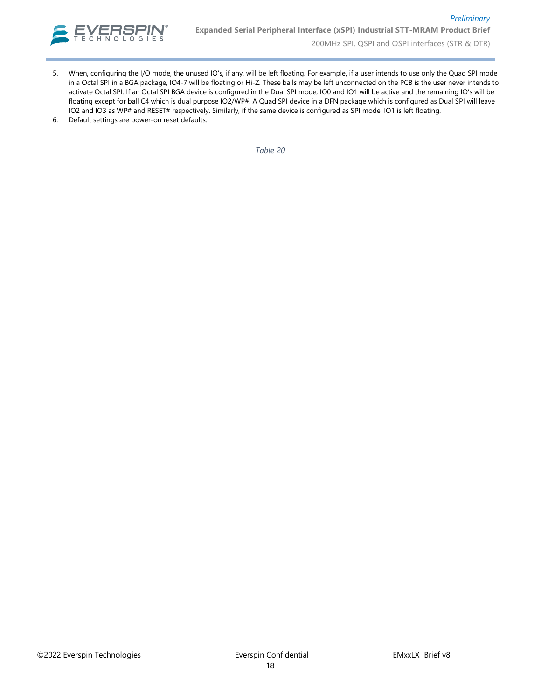

- 5. When, configuring the I/O mode, the unused IO's, if any, will be left floating. For example, if a user intends to use only the Quad SPI mode in a Octal SPI in a BGA package, IO4-7 will be floating or Hi-Z. These balls may be left unconnected on the PCB is the user never intends to activate Octal SPI. If an Octal SPI BGA device is configured in the Dual SPI mode, IO0 and IO1 will be active and the remaining IO's will be floating except for ball C4 which is dual purpose IO2/WP#. A Quad SPI device in a DFN package which is configured as Dual SPI will leave IO2 and IO3 as WP# and RESET# respectively. Similarly, if the same device is configured as SPI mode, IO1 is left floating.
- 6. Default settings are power-on reset defaults.

*Table 20*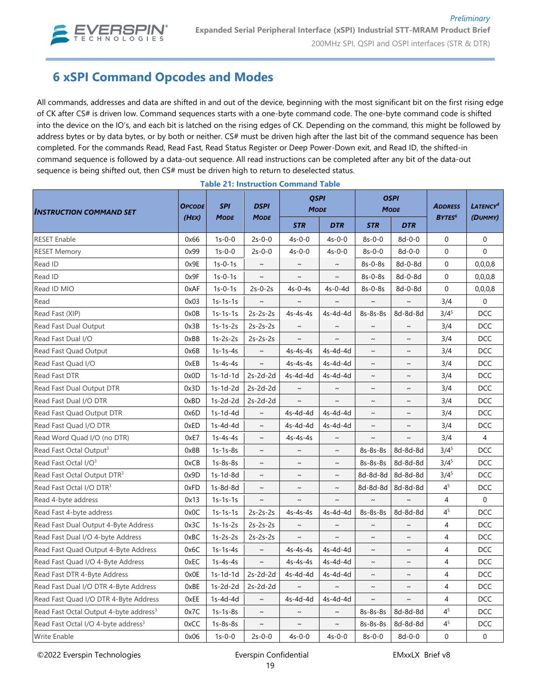

# **6 xSPI Command Opcodes and Modes**

All commands, addresses and data are shifted in and out of the device, beginning with the most significant bit on the first rising edge of CK after CS# is driven low. Command sequences starts with a one-byte command code. The one-byte command code is shifted into the device on the IO's, and each bit is latched on the rising edges of CK. Depending on the command, this might be followed by address bytes or by data bytes, or by both or neither. CS# must be driven high after the last bit of the command sequence has been completed. For the commands Read, Read Fast, Read Status Register or Deep Power-Down exit, and Read ID, the shifted-in command sequence is followed by a data-out sequence. All read instructions can be completed after any bit of the data-out sequence is being shifted out, then CS# must be driven high to return to deselected status.

| <b>INSTRUCTION COMMAND SET</b>                     | <b>OPCODE</b> | <b>SPI</b><br><b>MODE</b> | <b>DSPI</b> | <b>QSPI</b><br><b>MODE</b> |                       | <b>OSPI</b><br><b>MODE</b> |              | <b>ADDRESS</b>           | LATENCY <sup>4</sup> |
|----------------------------------------------------|---------------|---------------------------|-------------|----------------------------|-----------------------|----------------------------|--------------|--------------------------|----------------------|
|                                                    | (HEX)         |                           | <b>MODE</b> | <b>STR</b>                 | <b>DTR</b>            | <b>STR</b>                 | <b>DTR</b>   | <b>BYTES<sup>6</sup></b> | (DUMMY)              |
| <b>RESET Enable</b>                                | 0x66          | $1s-0-0$                  | $2s-0-0$    | $4s - 0 - 0$               | $4s-0-0$              | $8s-0-0$                   | $8d - 0 - 0$ | $\mathbf 0$              | $\mathbf 0$          |
| <b>RESET Memory</b>                                | 0x99          | $1s-0-0$                  | $2s-0-0$    | $4s - 0 - 0$               | $4s-0-0$              | $8s-0-0$                   | $8d - 0 - 0$ | $\mathbf 0$              | $\Omega$             |
| Read ID                                            | 0x9E          | $1s-0-1s$                 | $\sim$      | $\sim$                     | $\sim$                | 8s-0-8s                    | 8d-0-8d      | $\mathbf 0$              | 0,0,0,8              |
| Read ID                                            | 0x9F          | $1s-0-1s$                 | $\sim$      | $\sim$                     | $\sim$                | $8s-0-8s$                  | $8d-0-8d$    | $\Omega$                 | 0,0,0,8              |
| Read ID MIO                                        | 0xAF          | $1s-0-1s$                 | $2s-0-2s$   | $4s-0-4s$                  | $4s-0-4d$             | 8s-0-8s                    | 8d-0-8d      | $\mathbf 0$              | 0,0,0,8              |
| Read                                               | 0x03          | $1s-1s-1s$                | $\sim$      | $\sim$                     | $\tilde{\phantom{a}}$ | $\sim$                     | $\sim$       | 3/4                      | $\mathbf 0$          |
| Read Fast (XIP)                                    | 0x0B          | $1s-1s-1s$                | $2s-2s-2s$  | $4s-4s-4s$                 | 4s-4d-4d              | 8s-8s-8s                   | 8d-8d-8d     | $3/4^5$                  | <b>DCC</b>           |
| Read Fast Dual Output                              | 0x3B          | $1s-1s-2s$                | $2s-2s-2s$  | $\sim$                     | $\sim$                | $\sim$                     | $\sim$       | 3/4                      | <b>DCC</b>           |
| Read Fast Dual I/O                                 | 0xBB          | $1s-2s-2s$                | $2s-2s-2s$  | $\sim$                     | $\sim$                | $\sim$                     | $\sim$       | 3/4                      | <b>DCC</b>           |
| Read Fast Quad Output                              | 0x6B          | $1s-1s-4s$                | $\thicksim$ | $4s-4s-4s$                 | 4s-4d-4d              | $\thicksim$                | $\sim$       | 3/4                      | DCC                  |
| Read Fast Quad I/O                                 | 0xEB          | $1s-4s-4s$                | $\thicksim$ | $4s-4s-4s$                 | 4s-4d-4d              | $\thicksim$                | $\thicksim$  | 3/4                      | <b>DCC</b>           |
| Read Fast DTR                                      | 0x0D          | $1s-1d-1d$                | $2s-2d-2d$  | 4s-4d-4d                   | 4s-4d-4d              | $\sim$                     | $\sim$       | 3/4                      | <b>DCC</b>           |
| Read Fast Dual Output DTR                          | 0x3D          | $1s-1d-2d$                | $2s-2d-2d$  | $\sim$                     | $\thicksim$           | $\sim$                     | $\sim$       | 3/4                      | <b>DCC</b>           |
| Read Fast Dual I/O DTR                             | 0xBD          | $1s-2d-2d$                | $2s-2d-2d$  | $\sim$                     | $\sim$                | $\sim$                     | $\sim$       | 3/4                      | <b>DCC</b>           |
| Read Fast Quad Output DTR                          | 0x6D          | $1s-1d-4d$                | $\sim$      | 4s-4d-4d                   | 4s-4d-4d              | $\sim$                     | $\sim$       | 3/4                      | DCC                  |
| Read Fast Quad I/O DTR                             | 0xED          | $1s-4d-4d$                | $\sim$      | 4s-4d-4d                   | 4s-4d-4d              | $\thicksim$                | $\thicksim$  | 3/4                      | <b>DCC</b>           |
| Read Word Quad I/O (no DTR)                        | 0xE7          | $1s-4s-4s$                | $\sim$      | $4s-4s-4s$                 |                       | $\sim$                     | $\sim$       | 3/4                      | 4                    |
| Read Fast Octal Output <sup>3</sup>                | 0x8B          | $1s-1s-8s$                | $\sim$      | $\sim$                     | $\sim$                | 8s-8s-8s                   | 8d-8d-8d     | $3/4^{5}$                | <b>DCC</b>           |
| Read Fast Octal I/O <sup>3</sup>                   | 0xCB          | $1s-8s-8s$                | $\sim$      | $\sim$                     | $\sim$                | 8s-8s-8s                   | 8d-8d-8d     | $3/4^5$                  | <b>DCC</b>           |
| Read Fast Octal Output DTR <sup>3</sup>            | 0x9D          | 1s-1d-8d                  | $\sim$      | $\sim$                     | $\sim$                | 8d-8d-8d                   | 8d-8d-8d     | $3/4^{5}$                | <b>DCC</b>           |
| Read Fast Octal I/O DTR <sup>3</sup>               | 0xFD          | 1s-8d-8d                  | $\sim$      | $\sim$                     | $\sim$                | 8d-8d-8d                   | 8d-8d-8d     | 4 <sup>5</sup>           | <b>DCC</b>           |
| Read 4-byte address                                | 0x13          | $1s-1s-1s$                | $\sim$      | $\sim$                     | $\sim$                | $\sim$                     | $\sim$       | 4                        | $\mathbf 0$          |
| Read Fast 4-byte address                           | 0x0C          | $1s-1s-1s$                | $2s-2s-2s$  | $4s-4s-4s$                 | 4s-4d-4d              | 8s-8s-8s                   | 8d-8d-8d     | 4 <sup>5</sup>           | <b>DCC</b>           |
| Read Fast Dual Output 4-Byte Address               | 0x3C          | $1s-1s-2s$                | $2s-2s-2s$  | $\sim$                     | $\thicksim$           | $\sim$                     | $\thicksim$  | $\overline{4}$           | <b>DCC</b>           |
| Read Fast Dual I/O 4-byte Address                  | 0xBC          | $1s-2s-2s$                | $2s-2s-2s$  | $\sim$                     | $\sim$                | $\sim$                     | $\sim$       | $\overline{4}$           | <b>DCC</b>           |
| Read Fast Quad Output 4-Byte Address               | 0x6C          | $1s-1s-4s$                | $\sim$      | $4s-4s-4s$                 | 4s-4d-4d              | $\sim$                     | $\sim$       | $\overline{4}$           | <b>DCC</b>           |
| Read Fast Quad I/O 4-Byte Address                  | 0xEC          | $1s-4s-4s$                | $\thicksim$ | $4s-4s-4s$                 | 4s-4d-4d              | $\sim$                     | $\sim$       | 4                        | <b>DCC</b>           |
| Read Fast DTR 4-Byte Address                       | 0x0E          | $1s-1d-1d$                | $2s-2d-2d$  | 4s-4d-4d                   | 4s-4d-4d              | $\sim$                     | $\sim$       | 4                        | <b>DCC</b>           |
| Read Fast Dual I/O DTR 4-Byte Address              | 0xBE          | $1s-2d-2d$                | $2s-2d-2d$  | $\sim$                     | $\sim$                | $\sim$                     | $\sim$       | $\overline{4}$           | <b>DCC</b>           |
| Read Fast Quad I/O DTR 4-Byte Address              | 0xEE          | $1s-4d-4d$                | $\sim$      | 4s-4d-4d                   | 4s-4d-4d              | $\sim$                     | $\sim$       | $\overline{4}$           | <b>DCC</b>           |
| Read Fast Octal Output 4-byte address <sup>3</sup> | 0x7C          | $1s-1s-8s$                | $\sim$      | $\sim$                     | $\sim$                | 8s-8s-8s                   | 8d-8d-8d     | 4 <sup>5</sup>           | <b>DCC</b>           |
| Read Fast Octal I/O 4-byte address <sup>3</sup>    | 0xCC          | $1s-8s-8s$                | $\thicksim$ | $\sim$                     | $\sim$                | 8s-8s-8s                   | 8d-8d-8d     | 4 <sup>5</sup>           | <b>DCC</b>           |
| Write Enable                                       | 0x06          | $1s-0-0$                  | $2s-0-0$    | $4s-0-0$                   | $4s-0-0$              | $8s - 0 - 0$               | $8d - 0 - 0$ | $\mathbf 0$              | $\mathbf 0$          |

|  | <b>Table 21: Instruction Command Table</b> |  |
|--|--------------------------------------------|--|
|  |                                            |  |

©2022 Everspin Technologies exercise Everspin Confidential EMxxLX Brief v8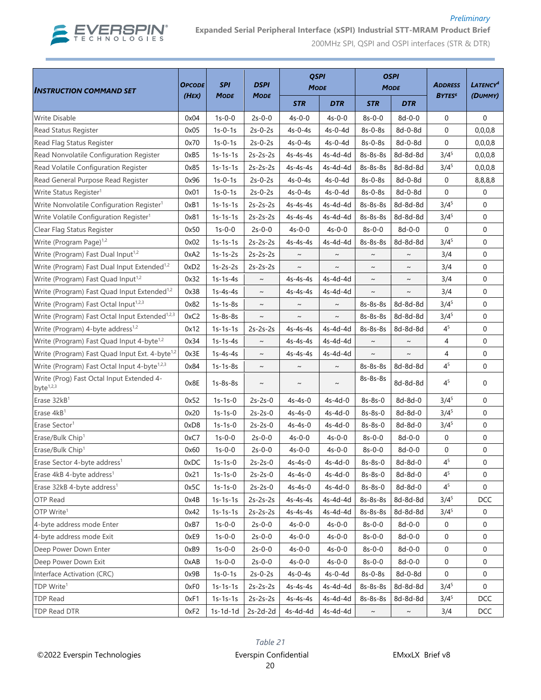

#### *Preliminary* **Expanded Serial Peripheral Interface (xSPI) Industrial STT-MRAM Product Brief**

200MHz SPI, QSPI and OSPI interfaces (STR & DTR)

| <b>INSTRUCTION COMMAND SET</b>                             | <b>OPCODE</b> | <b>SPI</b><br>MODE | <b>DSPI</b> | <b>QSPI</b><br><b>MODE</b> |                       | <b>OSPI</b><br><b>MODE</b> |              | <b>ADDRESS</b>           | <b>LATENCY<sup>4</sup></b> |
|------------------------------------------------------------|---------------|--------------------|-------------|----------------------------|-----------------------|----------------------------|--------------|--------------------------|----------------------------|
|                                                            | (HEX)         |                    | <b>MODE</b> | <b>STR</b>                 | <b>DTR</b>            | <b>STR</b>                 | <b>DTR</b>   | <b>BYTES<sup>6</sup></b> | (DUMMY)                    |
| Write Disable                                              | 0x04          | $1s-0-0$           | $2s-0-0$    | $4s-0-0$                   | $4s-0-0$              | $8s-0-0$                   | $8d - 0 - 0$ | $\mathbf 0$              | 0                          |
| Read Status Register                                       | 0x05          | $1s-0-1s$          | $2s-0-2s$   | $4s - 0 - 4s$              | $4s-0-4d$             | $8s-0-8s$                  | 8d-0-8d      | $\mathbf 0$              | 0,0,0,8                    |
| Read Flag Status Register                                  | 0x70          | $1s-0-1s$          | $2s-0-2s$   | $4s - 0 - 4s$              | 4s-0-4d               | $8s-0-8s$                  | 8d-0-8d      | $\mathbf 0$              | 0,0,0,8                    |
| Read Nonvolatile Configuration Register                    | 0xB5          | $1s-1s-1s$         | $2s-2s-2s$  | $4s-4s-4s$                 | 4s-4d-4d              | 8s-8s-8s                   | 8d-8d-8d     | $3/4^{5}$                | 0,0,0,8                    |
| Read Volatile Configuration Register                       | 0x85          | $1s-1s-1s$         | $2s-2s-2s$  | $4s-4s-4s$                 | 4s-4d-4d              | 8s-8s-8s                   | 8d-8d-8d     | $3/4^{5}$                | 0,0,0,8                    |
| Read General Purpose Read Register                         | 0x96          | $1s-0-1s$          | $2s-0-2s$   | $4s-0-4s$                  | $4s-0-4d$             | 8s-0-8s                    | 8d-0-8d      | 0                        | 8,8,8,8                    |
| Write Status Register <sup>1</sup>                         | 0x01          | $1s-0-1s$          | $2s-0-2s$   | $4s - 0 - 4s$              | 4s-0-4d               | 8s-0-8s                    | 8d-0-8d      | $\mathbf 0$              | 0                          |
| Write Nonvolatile Configuration Register <sup>1</sup>      | 0xB1          | $1s-1s-1s$         | $2s-2s-2s$  | $4s-4s-4s$                 | 4s-4d-4d              | 8s-8s-8s                   | 8d-8d-8d     | $3/4^{5}$                | 0                          |
| Write Volatile Configuration Register <sup>1</sup>         | 0x81          | $1s-1s-1s$         | $2s-2s-2s$  | $4s-4s-4s$                 | 4s-4d-4d              | 8s-8s-8s                   | 8d-8d-8d     | $3/4^{5}$                | $\mathbf 0$                |
| Clear Flag Status Register                                 | 0x50          | $1s-0-0$           | $2s-0-0$    | $4s-0-0$                   | $4s-0-0$              | $8s-0-0$                   | $8d - 0 - 0$ | $\mathbf 0$              | $\mathbf 0$                |
| Write (Program Page) <sup>1,2</sup>                        | 0x02          | $1s-1s-1s$         | $2s-2s-2s$  | $4s-4s-4s$                 | 4s-4d-4d              | 8s-8s-8s                   | 8d-8d-8d     | $3/4^{5}$                | $\mathbf 0$                |
| Write (Program) Fast Dual Input <sup>1,2</sup>             | 0xA2          | $1s-1s-2s$         | $2s-2s-2s$  | $\sim$                     | $\sim$                | $\sim$                     | $\sim$       | 3/4                      | $\mathbf 0$                |
| Write (Program) Fast Dual Input Extended <sup>1,2</sup>    | 0xD2          | $1s-2s-2s$         | $2s-2s-2s$  | $\sim$                     | $\sim$                | $\sim$                     | $\sim$       | 3/4                      | $\mathbf 0$                |
| Write (Program) Fast Quad Input <sup>1,2</sup>             | 0x32          | $1s-1s-4s$         | $\sim$      | 4s-4s-4s                   | 4s-4d-4d              | $\sim$                     | $\tilde{}$   | 3/4                      | 0                          |
| Write (Program) Fast Quad Input Extended <sup>1,2</sup>    | 0x38          | $1s-4s-4s$         | $\sim$      | $4s-4s-4s$                 | 4s-4d-4d              | $\sim$                     | $\tilde{}$   | 3/4                      | $\mathbf 0$                |
| Write (Program) Fast Octal Input <sup>1,2,3</sup>          | 0x82          | $1s-1s-8s$         | $\sim$      | $\sim$                     | $\sim$                | 8s-8s-8s                   | 8d-8d-8d     | $3/4^5$                  | 0                          |
| Write (Program) Fast Octal Input Extended <sup>1,2,3</sup> | 0xC2          | $1s-8s-8s$         | $\sim$      | $\tilde{\phantom{a}}$      | $\tilde{\phantom{a}}$ | 8s-8s-8s                   | 8d-8d-8d     | $3/4^5$                  | $\mathbf 0$                |
| Write (Program) 4-byte address <sup>1,2</sup>              | 0x12          | $1s-1s-1s$         | $2s-2s-2s$  | $4s-4s-4s$                 | 4s-4d-4d              | 8s-8s-8s                   | 8d-8d-8d     | 4 <sup>5</sup>           | 0                          |
| Write (Program) Fast Quad Input 4-byte <sup>1,2</sup>      | 0x34          | $1s-1s-4s$         | $\sim$      | 4s-4s-4s                   | 4s-4d-4d              | $\sim$                     | $\sim$       | 4                        | $\mathbf 0$                |
| Write (Program) Fast Quad Input Ext. 4-byte <sup>1,2</sup> | 0x3E          | $1s-4s-4s$         | $\sim$      | 4s-4s-4s                   | 4s-4d-4d              | $\sim$                     | $\sim$       | 4                        | $\mathbf 0$                |
| Write (Program) Fast Octal Input 4-byte <sup>1,2,3</sup>   | 0x84          | $1s-1s-8s$         | $\sim$      | $\sim$                     | $\sim$                | 8s-8s-8s                   | 8d-8d-8d     | 4 <sup>5</sup>           | $\mathbf 0$                |
| Write (Prog) Fast Octal Input Extended 4-<br>byte $1,2,3$  | 0x8E          | $1s-8s-8s$         | $\sim$      | $\sim$                     | $\sim$                | 8s-8s-8s                   | 8d-8d-8d     | 4 <sup>5</sup>           | $\mathbf 0$                |
| Erase 32kB <sup>1</sup>                                    | 0x52          | $1s-1s-0$          | $2s-2s-0$   | 4s-4s-0                    | $4s-4d-0$             | $8s-8s-0$                  | 8d-8d-0      | $3/4^{5}$                | $\mathbf 0$                |
| Erase 4kB <sup>1</sup>                                     | 0x20          | $1s-1s-0$          | $2s-2s-0$   | 4s-4s-0                    | $4s-4d-0$             | $8s-8s-0$                  | 8d-8d-0      | $3/4^{5}$                | $\mathbf 0$                |
| Erase Sector <sup>1</sup>                                  | 0xD8          | $1s-1s-0$          | $2s-2s-0$   | $4s-4s-0$                  | 4s-4d-0               | 8s-8s-0                    | 8d-8d-0      | $3/4^5$                  | 0                          |
| Erase/Bulk Chip <sup>1</sup>                               | 0xC7          | $1s-0-0$           | $2s-0-0$    | $4s-0-0$                   | $4s-0-0$              | $8s-0-0$                   | $8d - 0 - 0$ | 0                        | 0                          |
| Erase/Bulk Chip <sup>1</sup>                               | 0x60          | $1s-0-0$           | $2s-0-0$    | $4s-0-0$                   | $4s-0-0$              | $8s-0-0$                   | $8d - 0 - 0$ | $\mathbf 0$              | $\mathbf 0$                |
| Erase Sector 4-byte address <sup>1</sup>                   | 0xDC          | 1s-1s-0            | $2s-2s-0$   | $4s-4s-0$                  | $4s-4d-0$             | 8s-8s-0                    | 8d-8d-0      | 4 <sup>5</sup>           | 0                          |
| Erase 4kB 4-byte address <sup>1</sup>                      | 0x21          | $1s-1s-0$          | $2s-2s-0$   | $4s-4s-0$                  | 4s-4d-0               | 8s-8s-0                    | 8d-8d-0      | 4 <sup>5</sup>           | 0                          |
| Erase 32kB 4-byte address <sup>1</sup>                     | 0x5C          | $1s-1s-0$          | $2s-2s-0$   | 4s-4s-0                    | 4s-4d-0               | 8s-8s-0                    | 8d-8d-0      | 4 <sup>5</sup>           | $\mathbf 0$                |
| OTP Read                                                   | 0x4B          | $1s-1s-1s$         | $2s-2s-2s$  | 4s-4s-4s                   | 4s-4d-4d              | 8s-8s-8s                   | 8d-8d-8d     | $3/4^5$                  | DCC                        |
| OTP Write <sup>1</sup>                                     | 0x42          | $1s-1s-1s$         | $2s-2s-2s$  | $4s-4s-4s$                 | 4s-4d-4d              | 8s-8s-8s                   | 8d-8d-8d     | $3/4^5$                  | 0                          |
| 4-byte address mode Enter                                  | 0xB7          | $1s-0-0$           | $2s-0-0$    | $4s-0-0$                   | $4s-0-0$              | $8s-0-0$                   | $8d - 0 - 0$ | 0                        | $\mathbf 0$                |
| 4-byte address mode Exit                                   | 0xE9          | $1s-0-0$           | $2s-0-0$    | 4s-0-0                     | $4s-0-0$              | $8s-0-0$                   | 8d-0-0       | 0                        | 0                          |
| Deep Power Down Enter                                      | 0xB9          | $1s-0-0$           | $2s-0-0$    | $4s-0-0$                   | 4s-0-0                | $8s-0-0$                   | $8d - 0 - 0$ | 0                        | 0                          |
| Deep Power Down Exit                                       | 0xAB          | $1s-0-0$           | $2s-0-0$    | $4s-0-0$                   | $4s-0-0$              | $8s-0-0$                   | $8d - 0 - 0$ | 0                        | 0                          |
| Interface Activation (CRC)                                 | 0x9B          | $1s-0-1s$          | $2s-0-2s$   | $4s-0-4s$                  | 4s-0-4d               | 8s-0-8s                    | 8d-0-8d      | 0                        | 0                          |
| TDP Write <sup>1</sup>                                     | 0xF0          | $1s-1s-1s$         | $2s-2s-2s$  | $4s-4s-4s$                 | 4s-4d-4d              | 8s-8s-8s                   | 8d-8d-8d     | $3/4^5$                  | 0                          |
| <b>TDP Read</b>                                            | 0xF1          | $1s-1s-1s$         | $2s-2s-2s$  | $4s-4s-4s$                 | 4s-4d-4d              | 8s-8s-8s                   | 8d-8d-8d     | $3/4^5$                  | <b>DCC</b>                 |
| TDP Read DTR                                               | 0xF2          | $1s-1d-1d$         | $2s-2d-2d$  | 4s-4d-4d                   | 4s-4d-4d              | $\sim$                     | $\sim$       | 3/4                      | DCC                        |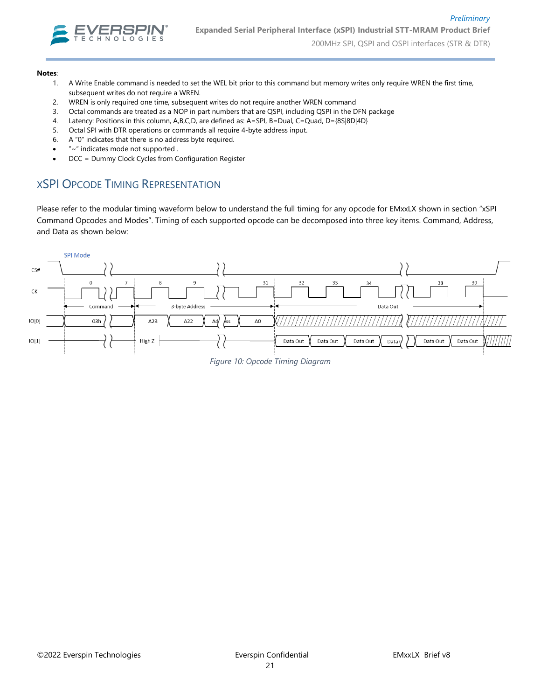

#### **Notes**:

- 1. A Write Enable command is needed to set the WEL bit prior to this command but memory writes only require WREN the first time, subsequent writes do not require a WREN.
- 2. WREN is only required one time, subsequent writes do not require another WREN command
- 3. Octal commands are treated as a NOP in part numbers that are QSPI, including QSPI in the DFN package
- 4. Latency: Positions in this column, A,B,C,D, are defined as: A=SPI, B=Dual, C=Quad, D={8S|8D|4D}
- 5. Octal SPI with DTR operations or commands all require 4-byte address input.
- 6. A "0" indicates that there is no address byte required.
- "~" indicates mode not supported .
- DCC = Dummy Clock Cycles from Configuration Register

### XSPI OPCODE TIMING REPRESENTATION

Please refer to the modular timing waveform below to understand the full timing for any opcode for EMxxLX shown in section "xSPI Command Opcodes and Modes". Timing of each supported opcode can be decomposed into three key items. Command, Address, and Data as shown below:



*Figure 10: Opcode Timing Diagram*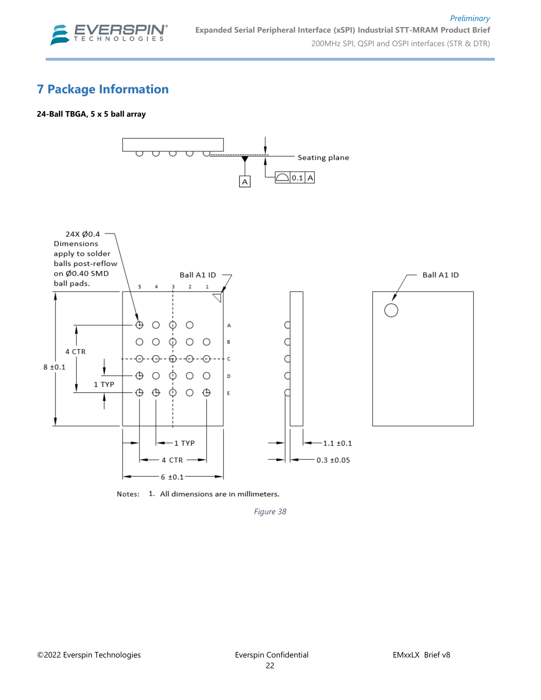

# **7 Package Information**

#### **24-Ball TBGA, 5 x 5 ball array**



Notes: 1. All dimensions are in millimeters.

*Figure 38*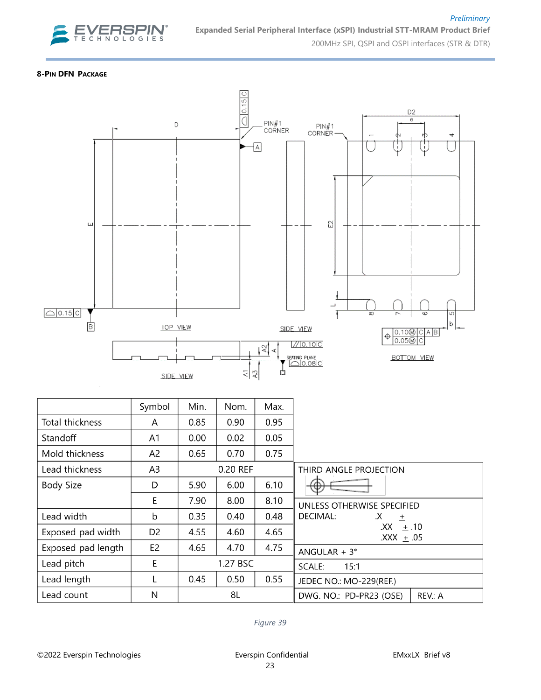

#### **8-PIN DFN PACKAGE**



|                    | Symbol         | Min. | Nom.     | Max. |                                    |
|--------------------|----------------|------|----------|------|------------------------------------|
| Total thickness    | A              | 0.85 | 0.90     | 0.95 |                                    |
| Standoff           | A <sub>1</sub> | 0.00 | 0.02     | 0.05 |                                    |
| Mold thickness     | A <sub>2</sub> | 0.65 | 0.70     | 0.75 |                                    |
| Lead thickness     | A <sub>3</sub> |      | 0.20 REF |      | THIRD ANGLE PROJECTION             |
| <b>Body Size</b>   | D              | 5.90 | 6.00     | 6.10 | Ψ                                  |
|                    | E              | 7.90 | 8.00     | 8.10 | UNLESS OTHERWISE SPECIFIED         |
| Lead width         | b              | 0.35 | 0.40     | 0.48 | DECIMAL:<br>$\mathsf{X}$<br>$\pm$  |
| Exposed pad width  | D <sub>2</sub> | 4.55 | 4.60     | 4.65 | $.XX = 10$<br>$\text{XXX} + 05$    |
| Exposed pad length | E <sub>2</sub> | 4.65 | 4.70     | 4.75 | ANGULAR $\pm$ 3°                   |
| Lead pitch         | E              |      | 1.27 BSC |      | 15:1<br>SCALE:                     |
| Lead length        |                | 0.45 | 0.50     | 0.55 | JEDEC NO.: MO-229(REF.)            |
| Lead count         | N              |      | 8L       |      | DWG. NO.: PD-PR23 (OSE)<br>REV.: A |

*Figure 39*